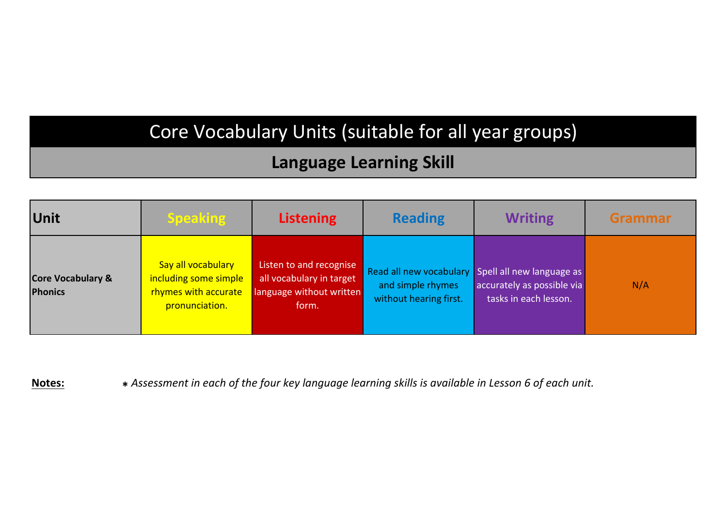# Core Vocabulary Units (suitable for all year groups)

#### **Language Learning Skill**

| Unit                                           | <b>Speaking</b>                                                                       | <b>Listening</b>                                                                         | <b>Reading</b>                              | <b>Writing</b>                                                                                           | Grammar |
|------------------------------------------------|---------------------------------------------------------------------------------------|------------------------------------------------------------------------------------------|---------------------------------------------|----------------------------------------------------------------------------------------------------------|---------|
| <b>Core Vocabulary &amp;</b><br><b>Phonics</b> | Say all vocabulary<br>including some simple<br>rhymes with accurate<br>pronunciation. | Listen to and recognise<br>all vocabulary in target<br>language without written<br>form. | and simple rhymes<br>without hearing first. | Read all new vocabulary Spell all new language as<br>accurately as possible via<br>tasks in each lesson. | N/A     |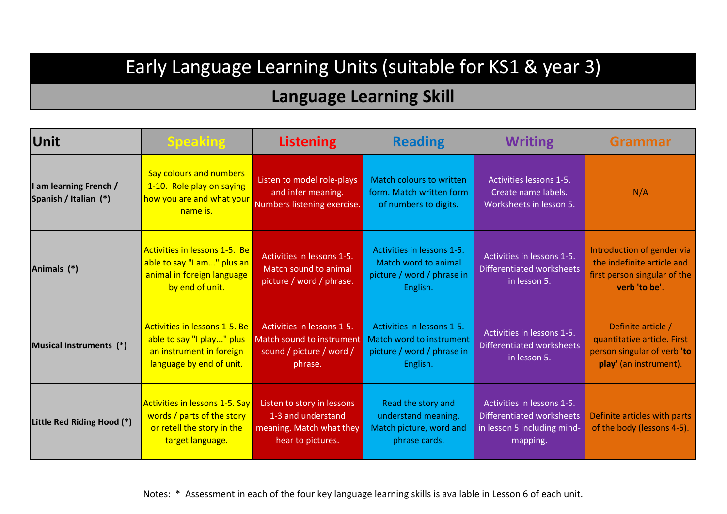# Early Language Learning Units (suitable for KS1 & year 3)

| <b>Unit</b>                                     | <b>Speaking</b>                                                                                                       | <b>Listening</b>                                                                                  | <b>Reading</b>                                                                                   | <b>Writing</b>                                                                                            | Grammar                                                                                                    |
|-------------------------------------------------|-----------------------------------------------------------------------------------------------------------------------|---------------------------------------------------------------------------------------------------|--------------------------------------------------------------------------------------------------|-----------------------------------------------------------------------------------------------------------|------------------------------------------------------------------------------------------------------------|
| I am learning French /<br>Spanish / Italian (*) | Say colours and numbers<br>1-10. Role play on saying<br>how you are and what your<br>name is.                         | Listen to model role-plays<br>and infer meaning.<br>Numbers listening exercise.                   | Match colours to written<br>form. Match written form<br>of numbers to digits.                    | Activities lessons 1-5.<br>Create name labels.<br>Worksheets in lesson 5.                                 | N/A                                                                                                        |
| Animals (*)                                     | Activities in lessons 1-5. Be<br>able to say "I am" plus an<br>animal in foreign language<br>by end of unit.          | Activities in lessons 1-5.<br>Match sound to animal<br>picture / word / phrase.                   | Activities in lessons 1-5.<br>Match word to animal<br>picture / word / phrase in<br>English.     | Activities in lessons 1-5.<br><b>Differentiated worksheets</b><br>in lesson 5.                            | Introduction of gender via<br>the indefinite article and<br>first person singular of the<br>verb 'to be'.  |
| Musical Instruments (*)                         | Activities in lessons 1-5. Be<br>able to say "I play" plus<br>an instrument in foreign<br>language by end of unit.    | Activities in lessons 1-5.<br>Match sound to instrument<br>sound / picture / word /<br>phrase.    | Activities in lessons 1-5.<br>Match word to instrument<br>picture / word / phrase in<br>English. | Activities in lessons 1-5.<br><b>Differentiated worksheets</b><br>in lesson 5.                            | Definite article /<br>quantitative article. First<br>person singular of verb 'to<br>play' (an instrument). |
| Little Red Riding Hood (*)                      | <b>Activities in lessons 1-5. Say</b><br>words / parts of the story<br>or retell the story in the<br>target language. | Listen to story in lessons<br>1-3 and understand<br>meaning. Match what they<br>hear to pictures. | Read the story and<br>understand meaning.<br>Match picture, word and<br>phrase cards.            | Activities in lessons 1-5.<br><b>Differentiated worksheets</b><br>in lesson 5 including mind-<br>mapping. | Definite articles with parts<br>of the body (lessons 4-5).                                                 |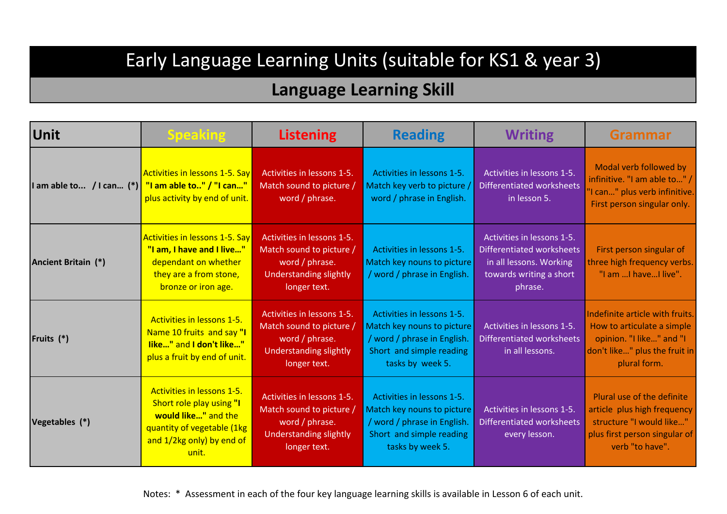## Early Language Learning Units (suitable for KS1 & year 3)

| <b>Unit</b>                | <b>Speaking</b>                                                                                                                                   | <b>Listening</b>                                                                                                          | <b>Reading</b>                                                                                                                          | <b>Writing</b>                                                                                                                  | <b>Grammar</b>                                                                                                                             |
|----------------------------|---------------------------------------------------------------------------------------------------------------------------------------------------|---------------------------------------------------------------------------------------------------------------------------|-----------------------------------------------------------------------------------------------------------------------------------------|---------------------------------------------------------------------------------------------------------------------------------|--------------------------------------------------------------------------------------------------------------------------------------------|
| I am able to / I can $(*)$ | Activities in lessons 1-5. Say<br>"I am able to" / "I can"<br>plus activity by end of unit.                                                       | Activities in lessons 1-5.<br>Match sound to picture /<br>word / phrase.                                                  | Activities in lessons 1-5.<br>Match key verb to picture /<br>word / phrase in English.                                                  | Activities in lessons 1-5.<br><b>Differentiated worksheets</b><br>in lesson 5.                                                  | Modal verb followed by<br>infinitive. "I am able to" /<br>'I can" plus verb infinitive.<br>First person singular only.                     |
| Ancient Britain (*)        | <b>Activities in lessons 1-5. Say</b><br>"I am, I have and I live"<br>dependant on whether<br>they are a from stone,<br>bronze or iron age.       | Activities in lessons 1-5.<br>Match sound to picture /<br>word / phrase.<br><b>Understanding slightly</b><br>longer text. | Activities in lessons 1-5.<br>Match key nouns to picture<br>/ word / phrase in English.                                                 | Activities in lessons 1-5.<br><b>Differentiated worksheets</b><br>in all lessons. Working<br>towards writing a short<br>phrase. | First person singular of<br>three high frequency verbs.<br>"I am  I have  I live".                                                         |
| Fruits (*)                 | Activities in lessons 1-5.<br>Name 10 fruits and say "I<br>like" and I don't like"<br>plus a fruit by end of unit.                                | Activities in lessons 1-5.<br>Match sound to picture /<br>word / phrase.<br><b>Understanding slightly</b><br>longer text. | Activities in lessons 1-5.<br>Match key nouns to picture<br>/ word / phrase in English.<br>Short and simple reading<br>tasks by week 5. | Activities in lessons 1-5.<br><b>Differentiated worksheets</b><br>in all lessons.                                               | Indefinite article with fruits.<br>How to articulate a simple<br>opinion. "I like" and "I<br>don't like" plus the fruit in<br>plural form. |
| Vegetables (*)             | Activities in lessons 1-5.<br>Short role play using "I<br>would like" and the<br>quantity of vegetable (1kg<br>and 1/2kg only) by end of<br>unit. | Activities in lessons 1-5.<br>Match sound to picture /<br>word / phrase.<br>Understanding slightly<br>longer text.        | Activities in lessons 1-5.<br>Match key nouns to picture<br>/ word / phrase in English.<br>Short and simple reading<br>tasks by week 5. | Activities in lessons 1-5.<br><b>Differentiated worksheets</b><br>every lesson.                                                 | Plural use of the definite<br>article plus high frequency<br>structure "I would like"<br>plus first person singular of<br>verb "to have".  |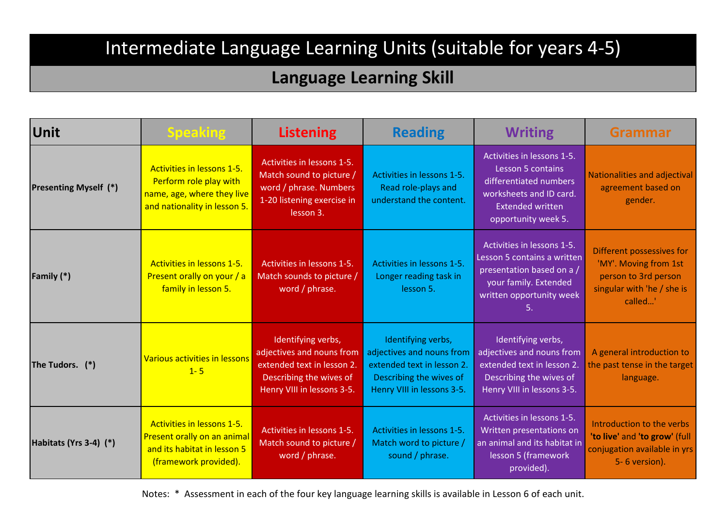#### **Language Learning Skill**

| <b>Unit</b>                  | <b>Speaking</b>                                                                                                    | <b>Listening</b>                                                                                                                       | <b>Reading</b>                                                                                                                         | <b>Writing</b>                                                                                                                                         | <b>Grammar</b>                                                                                                      |
|------------------------------|--------------------------------------------------------------------------------------------------------------------|----------------------------------------------------------------------------------------------------------------------------------------|----------------------------------------------------------------------------------------------------------------------------------------|--------------------------------------------------------------------------------------------------------------------------------------------------------|---------------------------------------------------------------------------------------------------------------------|
| <b>Presenting Myself (*)</b> | Activities in lessons 1-5.<br>Perform role play with<br>name, age, where they live<br>and nationality in lesson 5. | Activities in lessons 1-5.<br>Match sound to picture /<br>word / phrase. Numbers<br>1-20 listening exercise in<br>lesson 3.            | Activities in lessons 1-5.<br>Read role-plays and<br>understand the content.                                                           | Activities in lessons 1-5.<br>Lesson 5 contains<br>differentiated numbers<br>worksheets and ID card.<br><b>Extended written</b><br>opportunity week 5. | <b>Nationalities and adjectival</b><br>agreement based on<br>gender.                                                |
| Family (*)                   | Activities in lessons 1-5.<br>Present orally on your / a<br>family in lesson 5.                                    | Activities in lessons 1-5.<br>Match sounds to picture /<br>word / phrase.                                                              | Activities in lessons 1-5.<br>Longer reading task in<br>lesson 5.                                                                      | Activities in lessons 1-5.<br>Lesson 5 contains a written<br>presentation based on a /<br>your family. Extended<br>written opportunity week<br>5.      | Different possessives for<br>'MY'. Moving from 1st<br>person to 3rd person<br>singular with 'he / she is<br>called' |
| The Tudors. (*)              | Various activities in lessons<br>$1 - 5$                                                                           | Identifying verbs,<br>adjectives and nouns from<br>extended text in lesson 2.<br>Describing the wives of<br>Henry VIII in lessons 3-5. | Identifying verbs,<br>adjectives and nouns from<br>extended text in lesson 2.<br>Describing the wives of<br>Henry VIII in lessons 3-5. | Identifying verbs,<br>adjectives and nouns from<br>extended text in lesson 2.<br>Describing the wives of<br>Henry VIII in lessons 3-5.                 | A general introduction to<br>the past tense in the target<br>language.                                              |
| Habitats (Yrs 3-4) (*)       | Activities in lessons 1-5.<br>Present orally on an animal<br>and its habitat in lesson 5<br>(framework provided).  | Activities in lessons 1-5.<br>Match sound to picture /<br>word / phrase.                                                               | Activities in lessons 1-5.<br>Match word to picture /<br>sound / phrase.                                                               | Activities in lessons 1-5.<br>Written presentations on<br>an animal and its habitat in<br>lesson 5 (framework<br>provided).                            | Introduction to the verbs<br>'to live' and 'to grow' (full<br>conjugation available in yrs<br>5-6 version).         |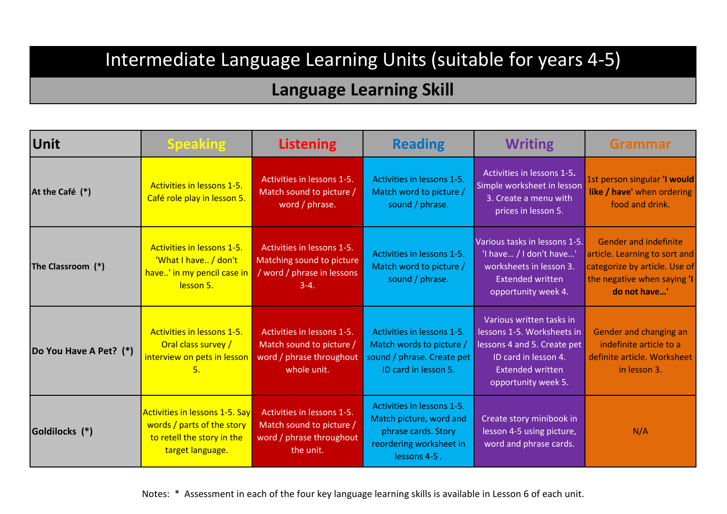### **Language Learning Skill**

| Unit                   | <b>Speaking</b>                                                                                                       | <b>Listening</b>                                                                                  | <b>Reading</b>                                                                                                          | <b>Writing</b>                                                                                                                                                  | <b>Grammar</b>                                                                                                                                |
|------------------------|-----------------------------------------------------------------------------------------------------------------------|---------------------------------------------------------------------------------------------------|-------------------------------------------------------------------------------------------------------------------------|-----------------------------------------------------------------------------------------------------------------------------------------------------------------|-----------------------------------------------------------------------------------------------------------------------------------------------|
| At the Café (*)        | Activities in lessons 1-5.<br>Café role play in lesson 5.                                                             | Activities in lessons 1-5.<br>Match sound to picture /<br>word / phrase.                          | Activities in lessons 1-5.<br>Match word to picture /<br>sound / phrase.                                                | Activities in lessons 1-5.<br>Simple worksheet in lesson<br>3. Create a menu with<br>prices in lesson 5.                                                        | 1st person singular 'I would<br>like / have' when ordering<br>food and drink.                                                                 |
| The Classroom (*)      | Activities in lessons 1-5.<br>'What I have / don't<br>have' in my pencil case in<br>lesson 5.                         | Activities in lessons 1-5.<br>Matching sound to picture<br>/ word / phrase in lessons<br>$3-4.$   | Activities in lessons 1-5.<br>Match word to picture /<br>sound / phrase.                                                | Various tasks in lessons 1-5.<br>'I have / I don't have'<br>worksheets in lesson 3.<br><b>Extended written</b><br>opportunity week 4.                           | <b>Gender and indefinite</b><br>article. Learning to sort and<br>categorize by article. Use of<br>the negative when saying 'I<br>do not have' |
| Do You Have A Pet? (*) | Activities in lessons 1-5.<br>Oral class survey /<br>interview on pets in lesson<br>5.                                | Activities in lessons 1-5.<br>Match sound to picture /<br>word / phrase throughout<br>whole unit. | Activities in lessons 1-5.<br>Match words to picture /<br>sound / phrase. Create pet<br>ID card in lesson 5.            | Various written tasks in<br>lessons 1-5. Worksheets in<br>lessons 4 and 5. Create pet<br>ID card in lesson 4.<br><b>Extended written</b><br>opportunity week 5. | Gender and changing an<br>indefinite article to a<br>definite article. Worksheet<br>in lesson 3.                                              |
| Goldilocks (*)         | <b>Activities in lessons 1-5. Say</b><br>words / parts of the story<br>to retell the story in the<br>target language. | Activities in lessons 1-5.<br>Match sound to picture /<br>word / phrase throughout<br>the unit.   | Activities in lessons 1-5.<br>Match picture, word and<br>phrase cards. Story<br>reordering worksheet in<br>lessons 4-5. | Create story minibook in<br>lesson 4-5 using picture,<br>word and phrase cards.                                                                                 | N/A                                                                                                                                           |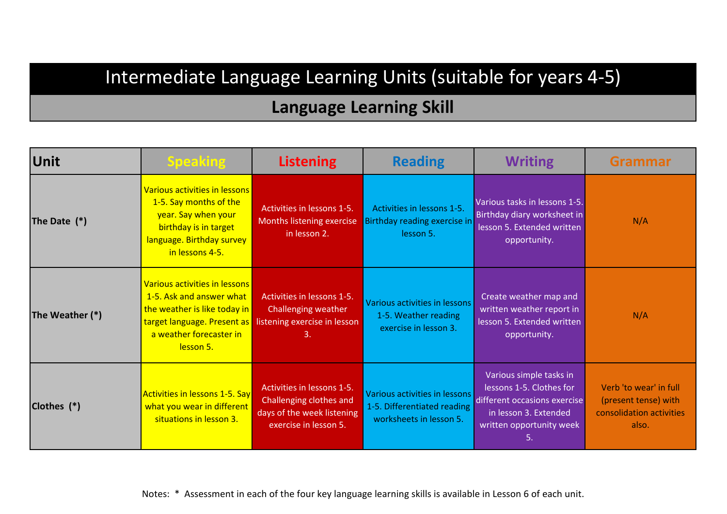#### **Language Learning Skill**

| Unit            | <b>Speaking</b>                                                                                                                                         | <b>Listening</b>                                                                                                    | <b>Reading</b>                                                                          | <b>Writing</b>                                                                                                                                 | <b>Grammar</b>                                                                      |
|-----------------|---------------------------------------------------------------------------------------------------------------------------------------------------------|---------------------------------------------------------------------------------------------------------------------|-----------------------------------------------------------------------------------------|------------------------------------------------------------------------------------------------------------------------------------------------|-------------------------------------------------------------------------------------|
| The Date $(*)$  | Various activities in lessons<br>1-5. Say months of the<br>year. Say when your<br>birthday is in target<br>language. Birthday survey<br>in lessons 4-5. | Activities in lessons 1-5.<br>Months listening exercise<br>in lesson 2.                                             | Activities in lessons 1-5.<br>Birthday reading exercise in<br>lesson 5.                 | Various tasks in lessons 1-5.<br>Birthday diary worksheet in<br>lesson 5. Extended written<br>opportunity.                                     | N/A                                                                                 |
| The Weather (*) | Various activities in lessons<br>1-5. Ask and answer what<br>the weather is like today in<br>a weather forecaster in<br>lesson 5.                       | Activities in lessons 1-5.<br>Challenging weather<br>target language. Present as listening exercise in lesson<br>3. | Various activities in lessons<br>1-5. Weather reading<br>exercise in lesson 3.          | Create weather map and<br>written weather report in<br>lesson 5. Extended written<br>opportunity.                                              | N/A                                                                                 |
| Clothes (*)     | <b>Activities in lessons 1-5. Say</b><br>what you wear in different<br>situations in lesson 3.                                                          | Activities in lessons 1-5.<br>Challenging clothes and<br>days of the week listening<br>exercise in lesson 5.        | Various activities in lessons<br>1-5. Differentiated reading<br>worksheets in lesson 5. | Various simple tasks in<br>lessons 1-5. Clothes for<br>different occasions exercise<br>in lesson 3. Extended<br>written opportunity week<br>5. | Verb 'to wear' in full<br>(present tense) with<br>consolidation activities<br>also. |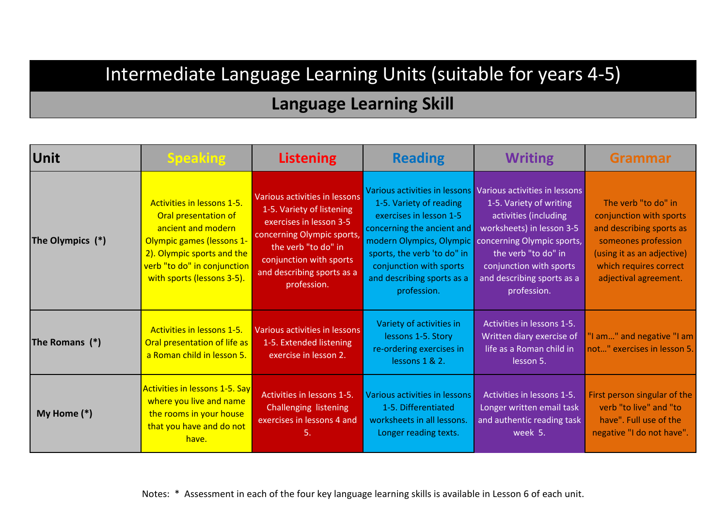| Unit             | <b>Speaking</b>                                                                                                                                                                                         | <b>Listening</b>                                                                                                                                                                                                   | <b>Reading</b>                                                                                                                                                                          | <b>Writing</b>                                                                                                                                                                                                                                                                                       | <b>Grammar</b>                                                                                                                                                                     |
|------------------|---------------------------------------------------------------------------------------------------------------------------------------------------------------------------------------------------------|--------------------------------------------------------------------------------------------------------------------------------------------------------------------------------------------------------------------|-----------------------------------------------------------------------------------------------------------------------------------------------------------------------------------------|------------------------------------------------------------------------------------------------------------------------------------------------------------------------------------------------------------------------------------------------------------------------------------------------------|------------------------------------------------------------------------------------------------------------------------------------------------------------------------------------|
| The Olympics (*) | Activities in lessons 1-5.<br>Oral presentation of<br>ancient and modern<br><b>Olympic games (lessons 1-</b><br>2). Olympic sports and the<br>verb "to do" in conjunction<br>with sports (lessons 3-5). | Various activities in lessons<br>1-5. Variety of listening<br>exercises in lesson 3-5<br>concerning Olympic sports,<br>the verb "to do" in<br>conjunction with sports<br>and describing sports as a<br>profession. | 1-5. Variety of reading<br>exercises in lesson 1-5<br>concerning the ancient and<br>sports, the verb 'to do" in<br>conjunction with sports<br>and describing sports as a<br>profession. | Various activities in lessons Various activities in lessons<br>1-5. Variety of writing<br>activities (including<br>worksheets) in lesson 3-5<br>modern Olympics, Olympic   concerning Olympic sports,<br>the verb "to do" in<br>conjunction with sports<br>and describing sports as a<br>profession. | The verb "to do" in<br>conjunction with sports<br>and describing sports as<br>someones profession<br>(using it as an adjective)<br>which requires correct<br>adjectival agreement. |
| The Romans (*)   | Activities in lessons 1-5.<br>Oral presentation of life as<br>a Roman child in lesson 5.                                                                                                                | Various activities in lessons<br>1-5. Extended listening<br>exercise in lesson 2.                                                                                                                                  | Variety of activities in<br>lessons 1-5. Story<br>re-ordering exercises in<br>lessons 1 & 2.                                                                                            | Activities in lessons 1-5.<br>Written diary exercise of<br>life as a Roman child in<br>lesson 5.                                                                                                                                                                                                     | "I am" and negative "I am<br>not" exercises in lesson 5.                                                                                                                           |
| My Home (*)      | <b>Activities in lessons 1-5. Say</b><br>where you live and name<br>the rooms in your house<br>that you have and do not<br>have.                                                                        | Activities in lessons 1-5.<br>Challenging listening<br>exercises in lessons 4 and<br>5.                                                                                                                            | Various activities in lessons<br>1-5. Differentiated<br>worksheets in all lessons.<br>Longer reading texts.                                                                             | Activities in lessons 1-5.<br>Longer written email task<br>and authentic reading task<br>week 5.                                                                                                                                                                                                     | First person singular of the<br>verb "to live" and "to<br>have". Full use of the<br>negative "I do not have".                                                                      |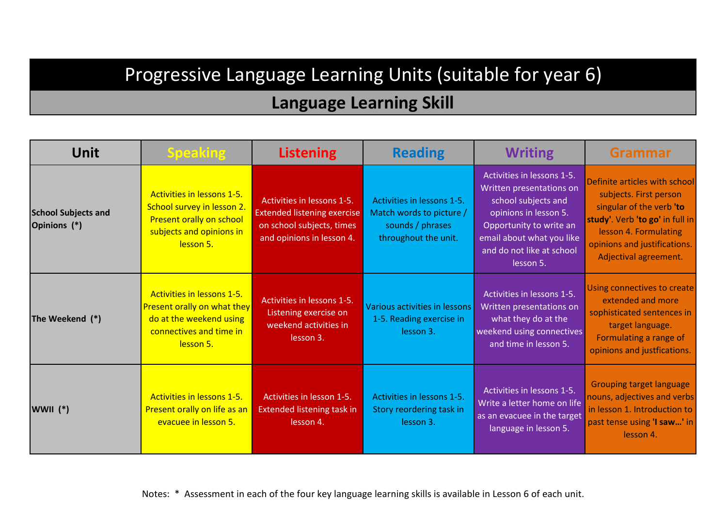## Progressive Language Learning Units (suitable for year 6)

| <b>Unit</b>                                | <b>Speaking</b>                                                                                                                     | <b>Listening</b>                                                                                                           | <b>Reading</b>                                                                                     | <b>Writing</b>                                                                                                                                                                                           | <b>Grammar</b>                                                                                                                                                                                           |
|--------------------------------------------|-------------------------------------------------------------------------------------------------------------------------------------|----------------------------------------------------------------------------------------------------------------------------|----------------------------------------------------------------------------------------------------|----------------------------------------------------------------------------------------------------------------------------------------------------------------------------------------------------------|----------------------------------------------------------------------------------------------------------------------------------------------------------------------------------------------------------|
| <b>School Subjects and</b><br>Opinions (*) | Activities in lessons 1-5.<br>School survey in lesson 2.<br>Present orally on school<br>subjects and opinions in<br>lesson 5.       | Activities in lessons 1-5.<br><b>Extended listening exercise</b><br>on school subjects, times<br>and opinions in lesson 4. | Activities in lessons 1-5.<br>Match words to picture /<br>sounds / phrases<br>throughout the unit. | Activities in lessons 1-5.<br>Written presentations on<br>school subjects and<br>opinions in lesson 5.<br>Opportunity to write an<br>email about what you like<br>and do not like at school<br>lesson 5. | Definite articles with school<br>subjects. First person<br>singular of the verb 'to<br>study'. Verb 'to go' in full in<br>lesson 4. Formulating<br>opinions and justifications.<br>Adjectival agreement. |
| The Weekend (*)                            | Activities in lessons 1-5.<br><b>Present orally on what they</b><br>do at the weekend using<br>connectives and time in<br>lesson 5. | Activities in lessons 1-5.<br>Listening exercise on<br>weekend activities in<br>lesson 3.                                  | Various activities in lessons<br>1-5. Reading exercise in<br>lesson 3.                             | Activities in lessons 1-5.<br>Written presentations on<br>what they do at the<br>weekend using connectives<br>and time in lesson 5.                                                                      | Using connectives to create<br>extended and more<br>sophisticated sentences in<br>target language.<br>Formulating a range of<br>opinions and justfications.                                              |
| WWII $(*)$                                 | Activities in lessons 1-5.<br>Present orally on life as an<br>evacuee in lesson 5.                                                  | Activities in lesson 1-5.<br><b>Extended listening task in</b><br>lesson 4.                                                | Activities in lessons 1-5.<br>Story reordering task in<br>lesson 3.                                | Activities in lessons 1-5.<br>Write a letter home on life<br>as an evacuee in the target<br>language in lesson 5.                                                                                        | <b>Grouping target language</b><br>nouns, adjectives and verbs<br>in lesson 1. Introduction to<br>past tense using 'I saw' in<br>lesson 4.                                                               |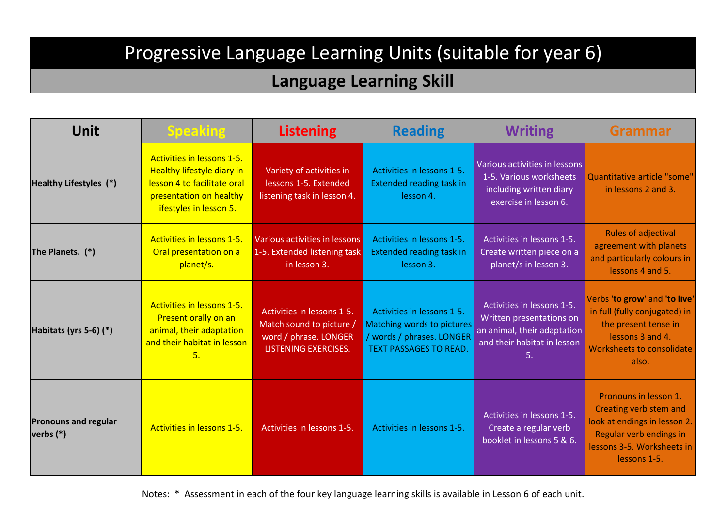# Progressive Language Learning Units (suitable for year 6)

#### **Language Learning Skill**

| <b>Unit</b>                                | <b>Speaking</b>                                                                                                                               | <b>Listening</b>                                                                                               | <b>Reading</b>                                                                                                         | <b>Writing</b>                                                                                                             | <b>Grammar</b>                                                                                                                                           |
|--------------------------------------------|-----------------------------------------------------------------------------------------------------------------------------------------------|----------------------------------------------------------------------------------------------------------------|------------------------------------------------------------------------------------------------------------------------|----------------------------------------------------------------------------------------------------------------------------|----------------------------------------------------------------------------------------------------------------------------------------------------------|
| Healthy Lifestyles (*)                     | Activities in lessons 1-5.<br>Healthy lifestyle diary in<br>lesson 4 to facilitate oral<br>presentation on healthy<br>lifestyles in lesson 5. | Variety of activities in<br>lessons 1-5. Extended<br>listening task in lesson 4.                               | Activities in lessons 1-5.<br><b>Extended reading task in</b><br>lesson 4.                                             | Various activities in lessons<br>1-5. Various worksheets<br>including written diary<br>exercise in lesson 6.               | Quantitative article "some"<br>in lessons 2 and 3.                                                                                                       |
| The Planets. (*)                           | Activities in lessons 1-5.<br>Oral presentation on a<br>planet/s.                                                                             | Various activities in lessons<br>1-5. Extended listening task<br>in lesson 3.                                  | Activities in lessons 1-5.<br><b>Extended reading task in</b><br>lesson 3.                                             | Activities in lessons 1-5.<br>Create written piece on a<br>planet/s in lesson 3.                                           | <b>Rules of adjectival</b><br>agreement with planets<br>and particularly colours in<br>lessons 4 and 5.                                                  |
| Habitats (yrs 5-6) (*)                     | Activities in lessons 1-5.<br>Present orally on an<br>animal, their adaptation<br>and their habitat in lesson<br>5.                           | Activities in lessons 1-5.<br>Match sound to picture /<br>word / phrase. LONGER<br><b>LISTENING EXERCISES.</b> | Activities in lessons 1-5.<br>Matching words to pictures<br>/ words / phrases. LONGER<br><b>TEXT PASSAGES TO READ.</b> | Activities in lessons 1-5.<br>Written presentations on<br>an animal, their adaptation<br>and their habitat in lesson<br>5. | Verbs 'to grow' and 'to live'<br>in full (fully conjugated) in<br>the present tense in<br>lessons 3 and 4.<br>Worksheets to consolidate<br>also.         |
| <b>Pronouns and regular</b><br>verbs $(*)$ | Activities in lessons 1-5.                                                                                                                    | Activities in lessons 1-5.                                                                                     | Activities in lessons 1-5.                                                                                             | Activities in lessons 1-5.<br>Create a regular verb<br>booklet in lessons 5 & 6.                                           | Pronouns in lesson 1.<br>Creating verb stem and<br>look at endings in lesson 2.<br>Regular verb endings in<br>lessons 3-5. Worksheets in<br>lessons 1-5. |